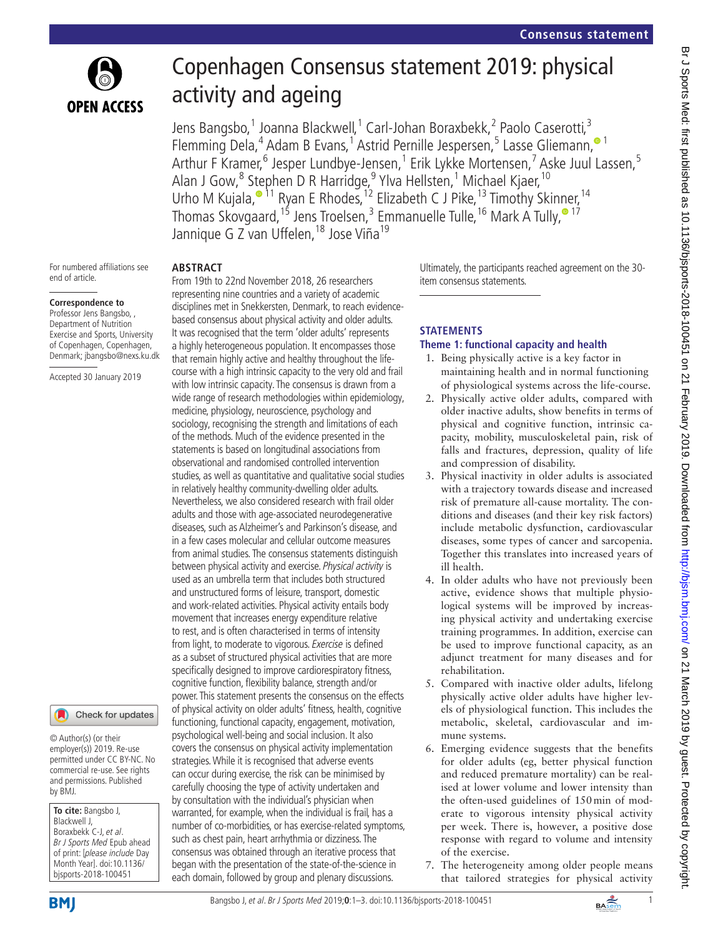

# Copenhagen Consensus statement 2019: physical activity and ageing

Jens Bangsbo,<sup>1</sup> Joanna Blackwell,<sup>1</sup> Carl-Johan Boraxbekk,<sup>2</sup> Paolo Caserotti,<sup>3</sup> Flemming Dela,<sup>4</sup> Adam B Evans,<sup>1</sup> Astrid Pernille Jespersen,<sup>5</sup> Lasse Gliemann,<sup>® 1</sup> Arthur F Kramer,<sup>6</sup> Jesper Lundbye-Jensen,<sup>1</sup> Erik Lykke Mortensen,<sup>7</sup> Aske Juul Lassen,<sup>5</sup> Alan J Gow,<sup>8</sup> Stephen D R Harridge,<sup>9</sup> Ylva Hellsten,<sup>1</sup> Michael Kjaer,<sup>10</sup> Urho M Kujala,<sup>•11</sup> Ryan E Rhodes,<sup>12</sup> Elizabeth C J Pike,<sup>13</sup> Timothy Skinner,<sup>14</sup> ThomasSkovgaard,<sup>15</sup> Jens Troelsen,<sup>3</sup> Emmanuelle Tulle,<sup>16</sup> Mark A Tully,<sup>® 17</sup> Jannique G Z van Uffelen, <sup>18</sup> Jose Viña<sup>19</sup>

For numbered affiliations see end of article.

**OPEN ACCESS** 

#### **Correspondence to**

Professor Jens Bangsbo, , Department of Nutrition Exercise and Sports, University of Copenhagen, Copenhagen, Denmark; jbangsbo@nexs.ku.dk

Accepted 30 January 2019

#### Check for updates

© Author(s) (or their employer(s)) 2019. Re-use permitted under CC BY-NC. No commercial re-use. See rights and permissions. Published by BMJ.

**To cite:** Bangsbo J, Blackwell J, Boraxbekk C-J, et al. Br J Sports Med Epub ahead of print: [please include Day Month Year]. doi:10.1136/ bjsports-2018-100451

**Abstract**

From 19th to 22nd November 2018, 26 researchers representing nine countries and a variety of academic disciplines met in Snekkersten, Denmark, to reach evidencebased consensus about physical activity and older adults. It was recognised that the term 'older adults' represents a highly heterogeneous population. It encompasses those that remain highly active and healthy throughout the lifecourse with a high intrinsic capacity to the very old and frail with low intrinsic capacity. The consensus is drawn from a wide range of research methodologies within epidemiology, medicine, physiology, neuroscience, psychology and sociology, recognising the strength and limitations of each of the methods. Much of the evidence presented in the statements is based on longitudinal associations from observational and randomised controlled intervention studies, as well as quantitative and qualitative social studies in relatively healthy community-dwelling older adults. Nevertheless, we also considered research with frail older adults and those with age-associated neurodegenerative diseases, such as Alzheimer's and Parkinson's disease, and in a few cases molecular and cellular outcome measures from animal studies. The consensus statements distinguish between physical activity and exercise. Physical activity is used as an umbrella term that includes both structured and unstructured forms of leisure, transport, domestic and work-related activities. Physical activity entails body movement that increases energy expenditure relative to rest, and is often characterised in terms of intensity from light, to moderate to vigorous. Exercise is defined as a subset of structured physical activities that are more specifically designed to improve cardiorespiratory fitness, cognitive function, flexibility balance, strength and/or power. This statement presents the consensus on the effects of physical activity on older adults' fitness, health, cognitive functioning, functional capacity, engagement, motivation, psychological well-being and social inclusion. It also covers the consensus on physical activity implementation strategies. While it is recognised that adverse events can occur during exercise, the risk can be minimised by carefully choosing the type of activity undertaken and by consultation with the individual's physician when warranted, for example, when the individual is frail, has a number of co-morbidities, or has exercise-related symptoms, such as chest pain, heart arrhythmia or dizziness. The consensus was obtained through an iterative process that began with the presentation of the state-of-the-science in each domain, followed by group and plenary discussions.

Ultimately, the participants reached agreement on the 30 item consensus statements.

## **Stat ements**

## **Theme 1: functional capacity and health**

- 1. Being physically active is a key factor in maintaining health and in normal functioning of physiological systems across the life-course.
- 2. Physically active older adults, compared with older inactive adults, show benefits in terms of physical and cognitive function, intrinsic capacity, mobility, musculoskeletal pain, risk of falls and fractures, depression, quality of life and compression of disability.
- 3. Physical inactivity in older adults is associated with a trajectory towards disease and increased risk of premature all-cause mortality. The conditions and diseases (and their key risk factors) include metabolic dysfunction, cardiovascular diseases, some types of cancer and sarcopenia. Together this translates into increased years of ill health.
- 4. In older adults who have not previously been active, evidence shows that multiple physiological systems will be improved by increasing physical activity and undertaking exercise training programmes. In addition, exercise can be used to improve functional capacity, as an adjunct treatment for many diseases and for rehabilitation.
- 5. Compared with inactive older adults, lifelong physically active older adults have higher levels of physiological function. This includes the metabolic, skeletal, cardiovascular and immune systems.
- 6. Emerging evidence suggests that the benefits for older adults (eg, better physical function and reduced premature mortality) can be realised at lower volume and lower intensity than the often-used guidelines of 150min of moderate to vigorous intensity physical activity per week. There is, however, a positive dose response with regard to volume and intensity of the exercise.
- 7. The heterogeneity among older people means that tailored strategies for physical activity

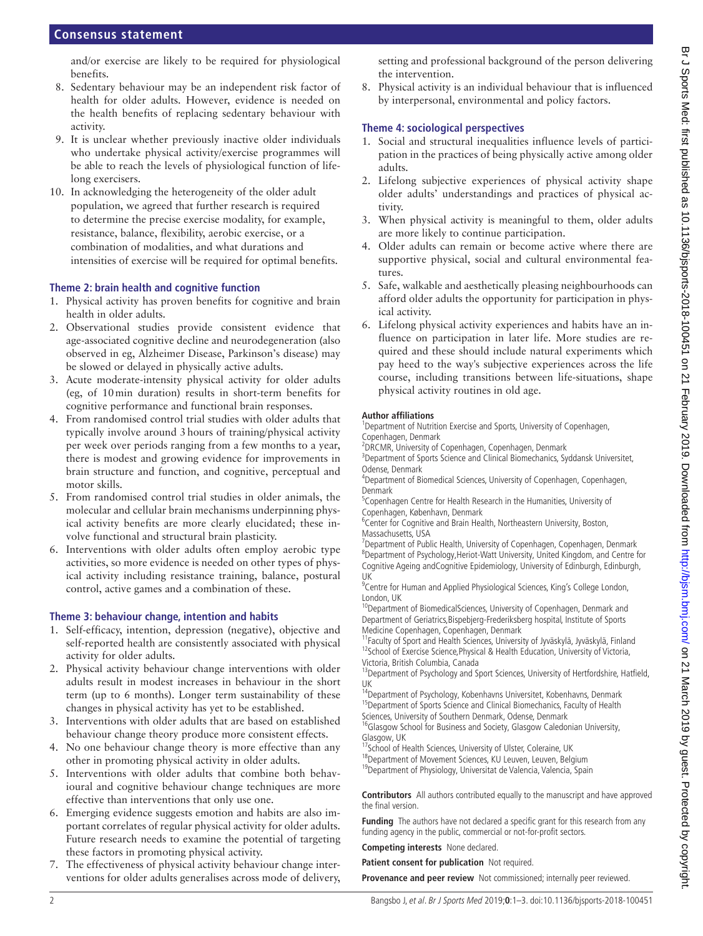## **Consensus statement**

and/or exercise are likely to be required for physiological benefits.

- 8. Sedentary behaviour may be an independent risk factor of health for older adults. However, evidence is needed on the health benefits of replacing sedentary behaviour with activity.
- 9. It is unclear whether previously inactive older individuals who undertake physical activity/exercise programmes will be able to reach the levels of physiological function of lifelong exercisers.
- 10. In acknowledging the heterogeneity of the older adult population, we agreed that further research is required to determine the precise exercise modality, for example, resistance, balance, flexibility, aerobic exercise, or a combination of modalities, and what durations and intensities of exercise will be required for optimal benefits.

#### **Theme 2: brain health and cognitive function**

- 1. Physical activity has proven benefits for cognitive and brain health in older adults.
- 2. Observational studies provide consistent evidence that age-associated cognitive decline and neurodegeneration (also observed in eg, Alzheimer Disease, Parkinson's disease) may be slowed or delayed in physically active adults.
- 3. Acute moderate-intensity physical activity for older adults (eg, of 10min duration) results in short-term benefits for cognitive performance and functional brain responses.
- 4. From randomised control trial studies with older adults that typically involve around 3hours of training/physical activity per week over periods ranging from a few months to a year, there is modest and growing evidence for improvements in brain structure and function, and cognitive, perceptual and motor skills.
- 5. From randomised control trial studies in older animals, the molecular and cellular brain mechanisms underpinning physical activity benefits are more clearly elucidated; these involve functional and structural brain plasticity.
- 6. Interventions with older adults often employ aerobic type activities, so more evidence is needed on other types of physical activity including resistance training, balance, postural control, active games and a combination of these.

#### **Theme 3: behaviour change, intention and habits**

- 1. Self-efficacy, intention, depression (negative), objective and self-reported health are consistently associated with physical activity for older adults.
- 2. Physical activity behaviour change interventions with older adults result in modest increases in behaviour in the short term (up to 6 months). Longer term sustainability of these changes in physical activity has yet to be established.
- 3. Interventions with older adults that are based on established behaviour change theory produce more consistent effects.
- 4. No one behaviour change theory is more effective than any other in promoting physical activity in older adults.
- 5. Interventions with older adults that combine both behavioural and cognitive behaviour change techniques are more effective than interventions that only use one.
- 6. Emerging evidence suggests emotion and habits are also important correlates of regular physical activity for older adults. Future research needs to examine the potential of targeting these factors in promoting physical activity.
- 7. The effectiveness of physical activity behaviour change interventions for older adults generalises across mode of delivery,

setting and professional background of the person delivering the intervention.

8. Physical activity is an individual behaviour that is influenced by interpersonal, environmental and policy factors.

## **Theme 4: sociological perspectives**

- 1. Social and structural inequalities influence levels of participation in the practices of being physically active among older adults.
- 2. Lifelong subjective experiences of physical activity shape older adults' understandings and practices of physical activity.
- 3. When physical activity is meaningful to them, older adults are more likely to continue participation.
- 4. Older adults can remain or become active where there are supportive physical, social and cultural environmental features.
- 5. Safe, walkable and aesthetically pleasing neighbourhoods can afford older adults the opportunity for participation in physical activity.
- 6. Lifelong physical activity experiences and habits have an influence on participation in later life. More studies are required and these should include natural experiments which pay heed to the way's subjective experiences across the life course, including transitions between life-situations, shape physical activity routines in old age.

#### **Author affiliations**

<sup>1</sup>Department of Nutrition Exercise and Sports, University of Copenhagen, Copenhagen, Denmark

<sup>2</sup> DRCMR, University of Copenhagen, Copenhagen, Denmark

<sup>3</sup>Department of Sports Science and Clinical Biomechanics, Syddansk Universitet, Odense, Denmark

<sup>4</sup>Department of Biomedical Sciences, University of Copenhagen, Copenhagen, Denmark

<sup>5</sup>Copenhagen Centre for Health Research in the Humanities, University of Copenhagen, København, Denmark

<sup>6</sup>Center for Cognitive and Brain Health, Northeastern University, Boston, Massachusetts, USA

<sup>7</sup>Department of Public Health, University of Copenhagen, Copenhagen, Denmark <sup>8</sup>Department of Psychology, Heriot-Watt University, United Kingdom, and Centre for Cognitive Ageing andCognitive Epidemiology, University of Edinburgh, Edinburgh, UK

<sup>9</sup> Centre for Human and Applied Physiological Sciences, King's College London, London, UK

<sup>10</sup>Department of BiomedicalSciences, University of Copenhagen, Denmark and Department of Geriatrics,Bispebjerg-Frederiksberg hospital, Institute of Sports Medicine Copenhagen, Copenhagen, Denmark

<sup>11</sup>Faculty of Sport and Health Sciences, University of Jyväskylä, Jyväskylä, Finland <sup>12</sup>School of Exercise Science, Physical & Health Education, University of Victoria, Victoria, British Columbia, Canada

<sup>13</sup> Department of Psychology and Sport Sciences, University of Hertfordshire, Hatfield, UK

<sup>4</sup>Department of Psychology, Kobenhavns Universitet, Kobenhavns, Denmark <sup>15</sup>Department of Sports Science and Clinical Biomechanics, Faculty of Health Sciences, University of Southern Denmark, Odense, Denmark

<sup>16</sup>Glasgow School for Business and Society, Glasgow Caledonian University, Glasgow, UK

- <sup>17</sup>School of Health Sciences, University of Ulster, Coleraine, UK
- 18Department of Movement Sciences, KU Leuven, Leuven, Belgium <sup>19</sup>Department of Physiology, Universitat de Valencia, Valencia, Spain

**Contributors** All authors contributed equally to the manuscript and have approved the final version.

**Funding** The authors have not declared a specific grant for this research from any funding agency in the public, commercial or not-for-profit sectors.

**Competing interests** None declared.

**Patient consent for publication** Not required.

**Provenance and peer review** Not commissioned; internally peer reviewed.